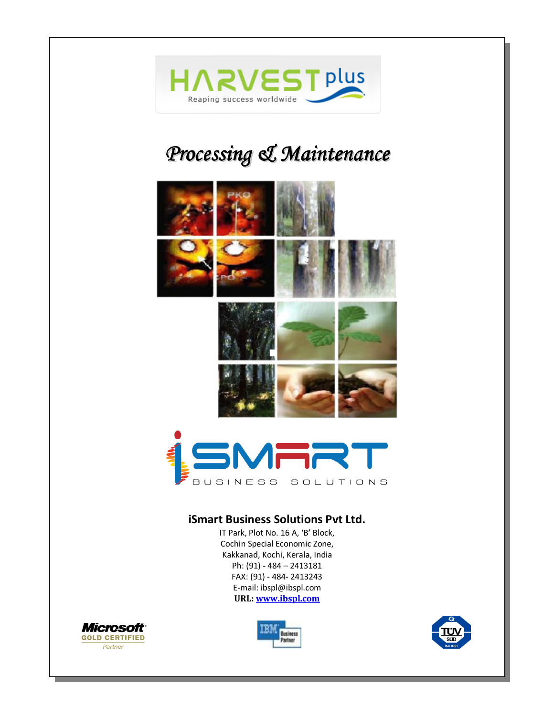

# *Processing & Maintenance*





#### **iSmart Business Solutions Pvt Ltd.**

IT Park, Plot No. 16 A, 'B' Block, Cochin Special Economic Zone, Kakkanad, Kochi, Kerala, India Ph: (91) - 484 – 2413181 FAX: (91) - 484- 2413243 E-mail: ibspl@ibspl.com **URL: www.ibspl.com**





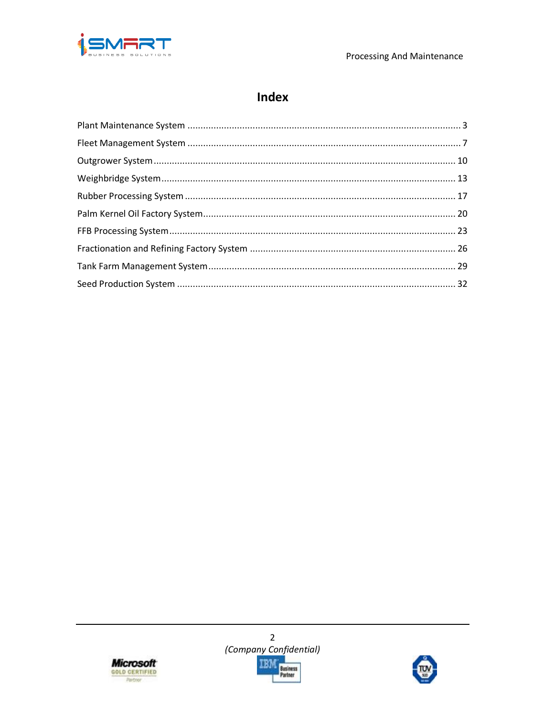

# Index





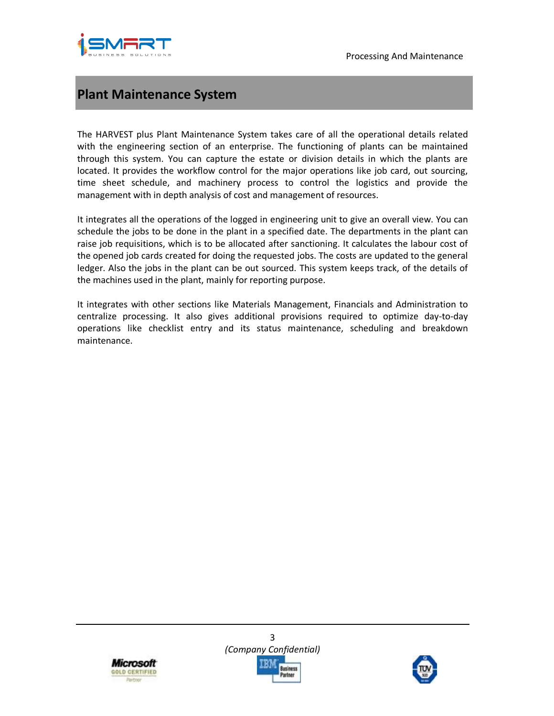

# **Plant Maintenance System**

The HARVEST plus Plant Maintenance System takes care of all the operational details related with the engineering section of an enterprise. The functioning of plants can be maintained through this system. You can capture the estate or division details in which the plants are located. It provides the workflow control for the major operations like job card, out sourcing, time sheet schedule, and machinery process to control the logistics and provide the management with in depth analysis of cost and management of resources.

It integrates all the operations of the logged in engineering unit to give an overall view. You can schedule the jobs to be done in the plant in a specified date. The departments in the plant can raise job requisitions, which is to be allocated after sanctioning. It calculates the labour cost of the opened job cards created for doing the requested jobs. The costs are updated to the general ledger. Also the jobs in the plant can be out sourced. This system keeps track, of the details of the machines used in the plant, mainly for reporting purpose.

It integrates with other sections like Materials Management, Financials and Administration to centralize processing. It also gives additional provisions required to optimize day-to-day operations like checklist entry and its status maintenance, scheduling and breakdown maintenance.



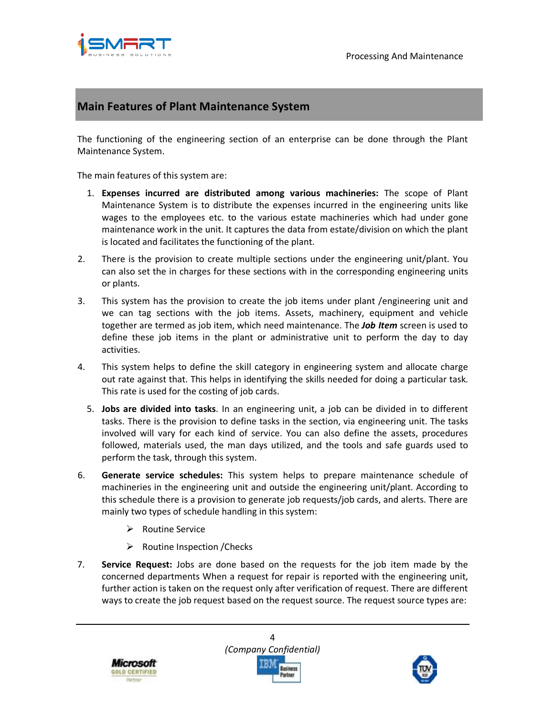

## **Main Features of Plant Maintenance System**

The functioning of the engineering section of an enterprise can be done through the Plant Maintenance System.

The main features of this system are:

- 1. **Expenses incurred are distributed among various machineries:** The scope of Plant Maintenance System is to distribute the expenses incurred in the engineering units like wages to the employees etc. to the various estate machineries which had under gone maintenance work in the unit. It captures the data from estate/division on which the plant is located and facilitates the functioning of the plant.
- 2. There is the provision to create multiple sections under the engineering unit/plant. You can also set the in charges for these sections with in the corresponding engineering units or plants.
- 3. This system has the provision to create the job items under plant /engineering unit and we can tag sections with the job items. Assets, machinery, equipment and vehicle together are termed as job item, which need maintenance. The *Job Item* screen is used to define these job items in the plant or administrative unit to perform the day to day activities.
- 4. This system helps to define the skill category in engineering system and allocate charge out rate against that. This helps in identifying the skills needed for doing a particular task. This rate is used for the costing of job cards.
	- 5. **Jobs are divided into tasks**. In an engineering unit, a job can be divided in to different tasks. There is the provision to define tasks in the section, via engineering unit. The tasks involved will vary for each kind of service. You can also define the assets, procedures followed, materials used, the man days utilized, and the tools and safe guards used to perform the task, through this system.
- 6. **Generate service schedules:** This system helps to prepare maintenance schedule of machineries in the engineering unit and outside the engineering unit/plant. According to this schedule there is a provision to generate job requests/job cards, and alerts. There are mainly two types of schedule handling in this system:
	- $\triangleright$  Routine Service
	- $\triangleright$  Routine Inspection / Checks
- 7. **Service Request:** Jobs are done based on the requests for the job item made by the concerned departments When a request for repair is reported with the engineering unit, further action is taken on the request only after verification of request. There are different ways to create the job request based on the request source. The request source types are:





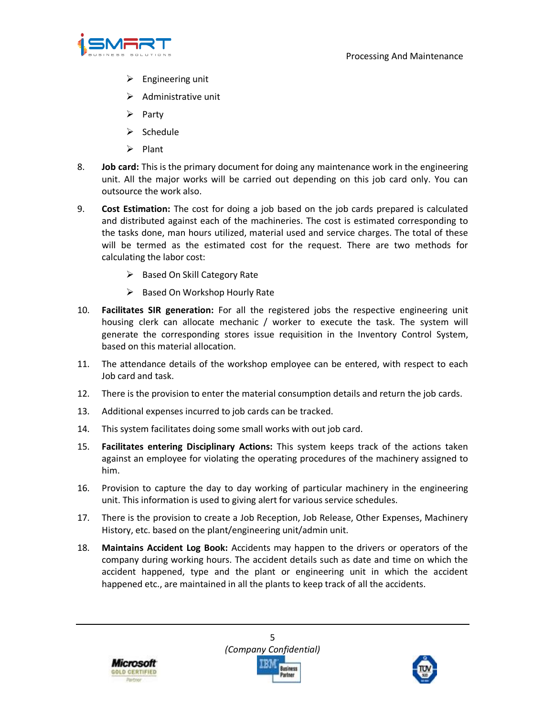

- $\triangleright$  Engineering unit
- $\triangleright$  Administrative unit
- $\triangleright$  Party
- $\triangleright$  Schedule
- $\triangleright$  Plant
- 8. **Job card:** This is the primary document for doing any maintenance work in the engineering unit. All the major works will be carried out depending on this job card only. You can outsource the work also.
- 9. **Cost Estimation:** The cost for doing a job based on the job cards prepared is calculated and distributed against each of the machineries. The cost is estimated corresponding to the tasks done, man hours utilized, material used and service charges. The total of these will be termed as the estimated cost for the request. There are two methods for calculating the labor cost:
	- $\triangleright$  Based On Skill Category Rate
	- $\triangleright$  Based On Workshop Hourly Rate
- 10. **Facilitates SIR generation:** For all the registered jobs the respective engineering unit housing clerk can allocate mechanic / worker to execute the task. The system will generate the corresponding stores issue requisition in the Inventory Control System, based on this material allocation.
- 11. The attendance details of the workshop employee can be entered, with respect to each Job card and task.
- 12. There is the provision to enter the material consumption details and return the job cards.
- 13. Additional expenses incurred to job cards can be tracked.
- 14. This system facilitates doing some small works with out job card.
- 15. **Facilitates entering Disciplinary Actions:** This system keeps track of the actions taken against an employee for violating the operating procedures of the machinery assigned to him.
- 16. Provision to capture the day to day working of particular machinery in the engineering unit. This information is used to giving alert for various service schedules.
- 17. There is the provision to create a Job Reception, Job Release, Other Expenses, Machinery History, etc. based on the plant/engineering unit/admin unit.
- 18. **Maintains Accident Log Book:** Accidents may happen to the drivers or operators of the company during working hours. The accident details such as date and time on which the accident happened, type and the plant or engineering unit in which the accident happened etc., are maintained in all the plants to keep track of all the accidents.



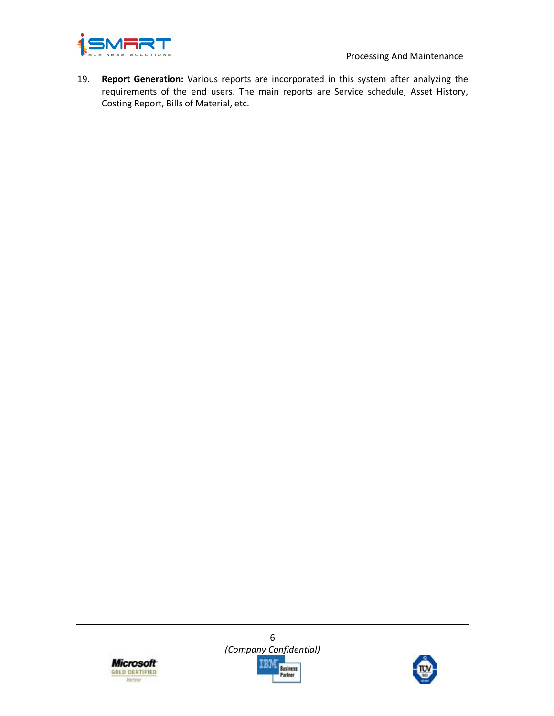

19. **Report Generation:** Various reports are incorporated in this system after analyzing the requirements of the end users. The main reports are Service schedule, Asset History, Costing Report, Bills of Material, etc.





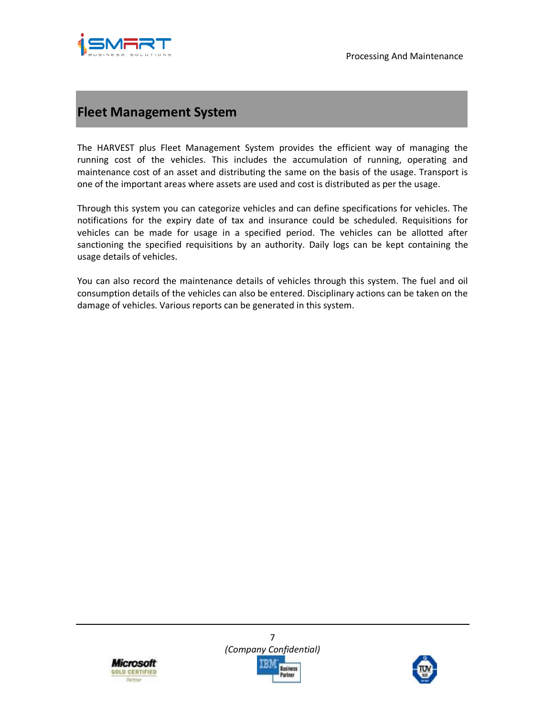

## **Fleet Management System**

The HARVEST plus Fleet Management System provides the efficient way of managing the running cost of the vehicles. This includes the accumulation of running, operating and maintenance cost of an asset and distributing the same on the basis of the usage. Transport is one of the important areas where assets are used and cost is distributed as per the usage.

Through this system you can categorize vehicles and can define specifications for vehicles. The notifications for the expiry date of tax and insurance could be scheduled. Requisitions for vehicles can be made for usage in a specified period. The vehicles can be allotted after sanctioning the specified requisitions by an authority. Daily logs can be kept containing the usage details of vehicles.

You can also record the maintenance details of vehicles through this system. The fuel and oil consumption details of the vehicles can also be entered. Disciplinary actions can be taken on the damage of vehicles. Various reports can be generated in this system.





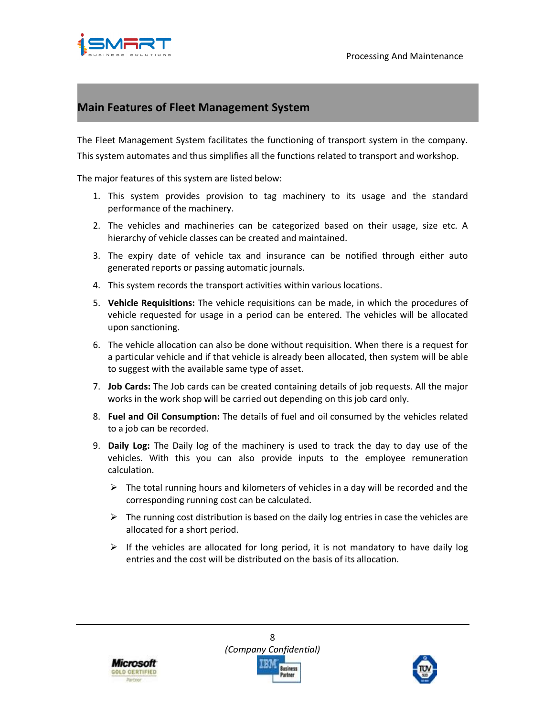

## **Main Features of Fleet Management System**

The Fleet Management System facilitates the functioning of transport system in the company. This system automates and thus simplifies all the functions related to transport and workshop.

The major features of this system are listed below:

- 1. This system provides provision to tag machinery to its usage and the standard performance of the machinery.
- 2. The vehicles and machineries can be categorized based on their usage, size etc. A hierarchy of vehicle classes can be created and maintained.
- 3. The expiry date of vehicle tax and insurance can be notified through either auto generated reports or passing automatic journals.
- 4. This system records the transport activities within various locations.
- 5. **Vehicle Requisitions:** The vehicle requisitions can be made, in which the procedures of vehicle requested for usage in a period can be entered. The vehicles will be allocated upon sanctioning.
- 6. The vehicle allocation can also be done without requisition. When there is a request for a particular vehicle and if that vehicle is already been allocated, then system will be able to suggest with the available same type of asset.
- 7. **Job Cards:** The Job cards can be created containing details of job requests. All the major works in the work shop will be carried out depending on this job card only.
- 8. **Fuel and Oil Consumption:** The details of fuel and oil consumed by the vehicles related to a job can be recorded.
- 9. **Daily Log:** The Daily log of the machinery is used to track the day to day use of the vehicles. With this you can also provide inputs to the employee remuneration calculation.
	- $\triangleright$  The total running hours and kilometers of vehicles in a day will be recorded and the corresponding running cost can be calculated.
	- $\triangleright$  The running cost distribution is based on the daily log entries in case the vehicles are allocated for a short period.
	- $\triangleright$  If the vehicles are allocated for long period, it is not mandatory to have daily log entries and the cost will be distributed on the basis of its allocation.



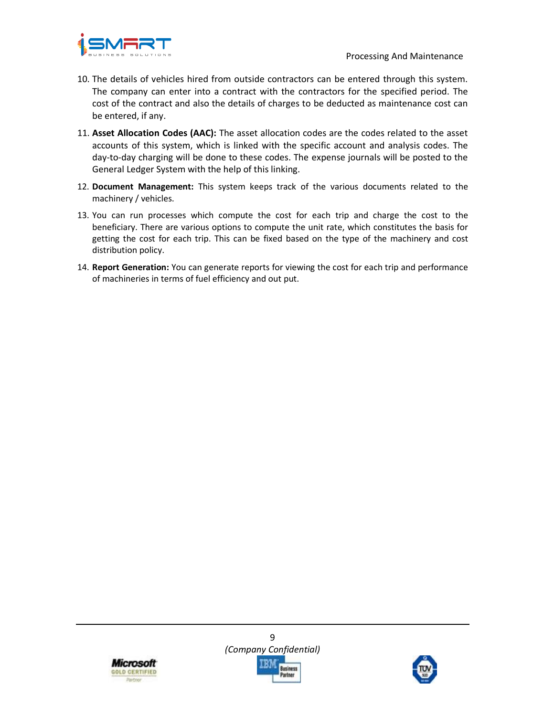

- 10. The details of vehicles hired from outside contractors can be entered through this system. The company can enter into a contract with the contractors for the specified period. The cost of the contract and also the details of charges to be deducted as maintenance cost can be entered, if any.
- 11. **Asset Allocation Codes (AAC):** The asset allocation codes are the codes related to the asset accounts of this system, which is linked with the specific account and analysis codes. The day-to-day charging will be done to these codes. The expense journals will be posted to the General Ledger System with the help of this linking.
- 12. **Document Management:** This system keeps track of the various documents related to the machinery / vehicles.
- 13. You can run processes which compute the cost for each trip and charge the cost to the beneficiary. There are various options to compute the unit rate, which constitutes the basis for getting the cost for each trip. This can be fixed based on the type of the machinery and cost distribution policy.
- 14. **Report Generation:** You can generate reports for viewing the cost for each trip and performance of machineries in terms of fuel efficiency and out put.



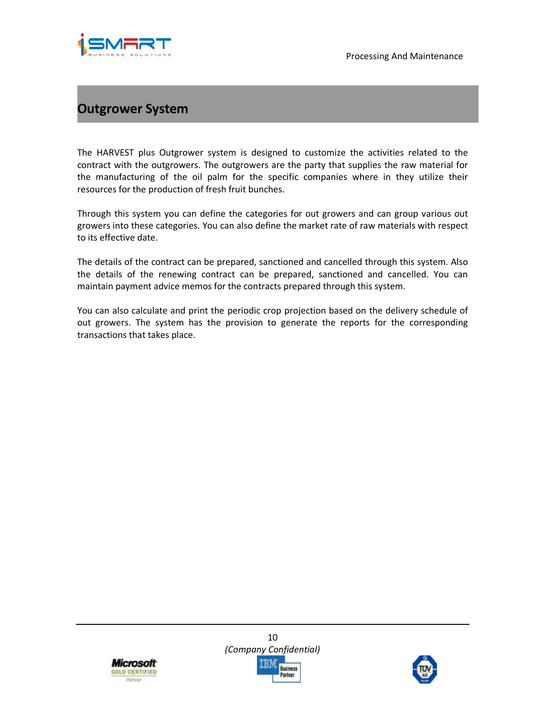

# **Outgrower System**

The HARVEST plus Outgrower system is designed to customize the activities related to the contract with the outgrowers. The outgrowers are the party that supplies the raw material for the manufacturing of the oil palm for the specific companies where in they utilize their resources for the production of fresh fruit bunches.

Through this system you can define the categories for out growers and can group various out growers into these categories. You can also define the market rate of raw materials with respect to its effective date.

The details of the contract can be prepared, sanctioned and cancelled through this system. Also the details of the renewing contract can be prepared, sanctioned and cancelled. You can maintain payment advice memos for the contracts prepared through this system.

You can also calculate and print the periodic crop projection based on the delivery schedule of out growers. The system has the provision to generate the reports for the corresponding transactions that takes place.



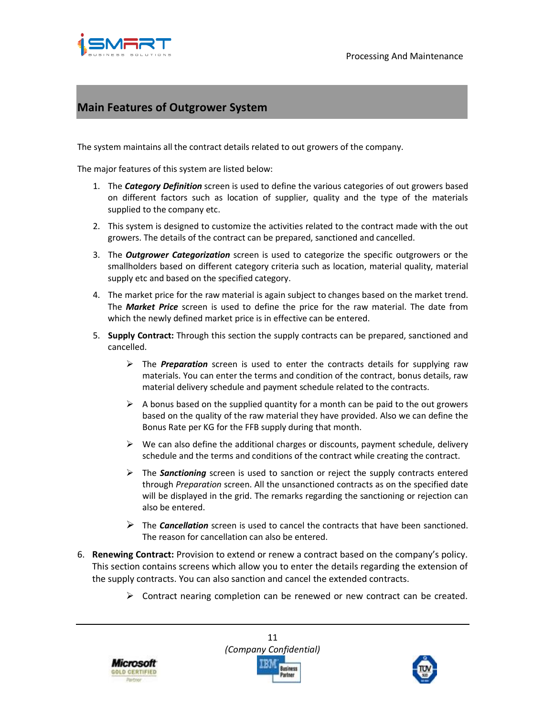

#### **Main Features of Outgrower System**

The system maintains all the contract details related to out growers of the company.

The major features of this system are listed below:

- 1. The *Category Definition* screen is used to define the various categories of out growers based on different factors such as location of supplier, quality and the type of the materials supplied to the company etc.
- 2. This system is designed to customize the activities related to the contract made with the out growers. The details of the contract can be prepared, sanctioned and cancelled.
- 3. The *Outgrower Categorization* screen is used to categorize the specific outgrowers or the smallholders based on different category criteria such as location, material quality, material supply etc and based on the specified category.
- 4. The market price for the raw material is again subject to changes based on the market trend. The *Market Price* screen is used to define the price for the raw material. The date from which the newly defined market price is in effective can be entered.
- 5. **Supply Contract:** Through this section the supply contracts can be prepared, sanctioned and cancelled.
	- The *Preparation* screen is used to enter the contracts details for supplying raw materials. You can enter the terms and condition of the contract, bonus details, raw material delivery schedule and payment schedule related to the contracts.
	- $\triangleright$  A bonus based on the supplied quantity for a month can be paid to the out growers based on the quality of the raw material they have provided. Also we can define the Bonus Rate per KG for the FFB supply during that month.
	- $\triangleright$  We can also define the additional charges or discounts, payment schedule, delivery schedule and the terms and conditions of the contract while creating the contract.
	- The *Sanctioning* screen is used to sanction or reject the supply contracts entered through *Preparation* screen. All the unsanctioned contracts as on the specified date will be displayed in the grid. The remarks regarding the sanctioning or rejection can also be entered.
	- The *Cancellation* screen is used to cancel the contracts that have been sanctioned. The reason for cancellation can also be entered.
- 6. **Renewing Contract:** Provision to extend or renew a contract based on the company's policy. This section contains screens which allow you to enter the details regarding the extension of the supply contracts. You can also sanction and cancel the extended contracts.
	- $\triangleright$  Contract nearing completion can be renewed or new contract can be created.





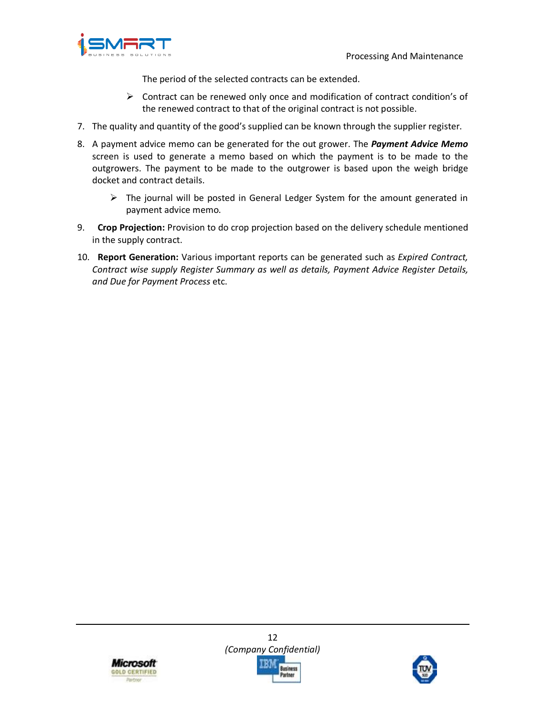

The period of the selected contracts can be extended.

- $\triangleright$  Contract can be renewed only once and modification of contract condition's of the renewed contract to that of the original contract is not possible.
- 7. The quality and quantity of the good's supplied can be known through the supplier register.
- 8. A payment advice memo can be generated for the out grower. The *Payment Advice Memo* screen is used to generate a memo based on which the payment is to be made to the outgrowers. The payment to be made to the outgrower is based upon the weigh bridge docket and contract details.
	- $\triangleright$  The journal will be posted in General Ledger System for the amount generated in payment advice memo.
- 9. **Crop Projection:** Provision to do crop projection based on the delivery schedule mentioned in the supply contract.
- 10. **Report Generation:** Various important reports can be generated such as *Expired Contract, Contract wise supply Register Summary as well as details, Payment Advice Register Details, and Due for Payment Process* etc.



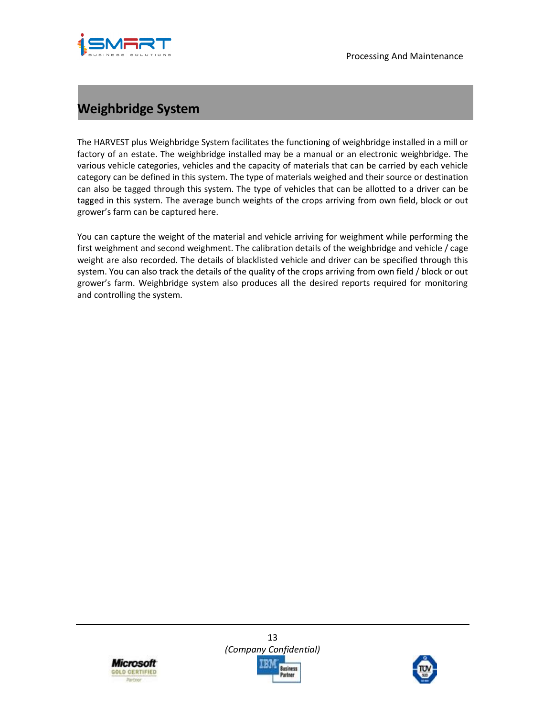



# **Weighbridge System**

The HARVEST plus Weighbridge System facilitates the functioning of weighbridge installed in a mill or factory of an estate. The weighbridge installed may be a manual or an electronic weighbridge. The various vehicle categories, vehicles and the capacity of materials that can be carried by each vehicle category can be defined in this system. The type of materials weighed and their source or destination can also be tagged through this system. The type of vehicles that can be allotted to a driver can be tagged in this system. The average bunch weights of the crops arriving from own field, block or out grower's farm can be captured here.

You can capture the weight of the material and vehicle arriving for weighment while performing the first weighment and second weighment. The calibration details of the weighbridge and vehicle / cage weight are also recorded. The details of blacklisted vehicle and driver can be specified through this system. You can also track the details of the quality of the crops arriving from own field / block or out grower's farm. Weighbridge system also produces all the desired reports required for monitoring and controlling the system.



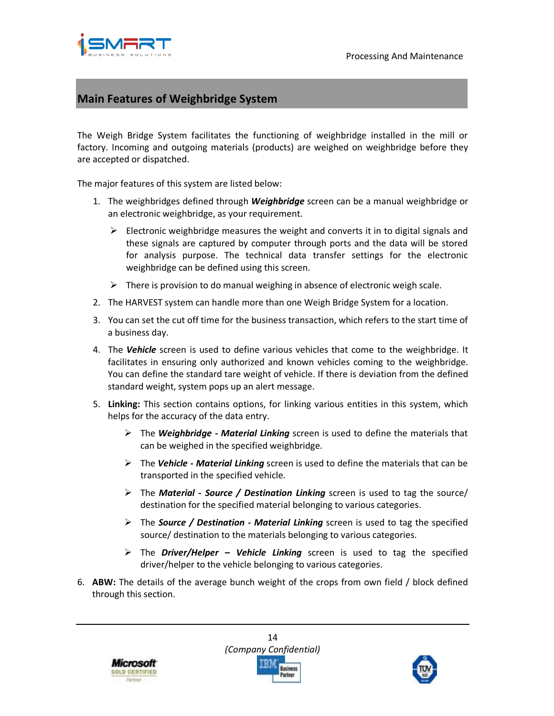



#### **Main Features of Weighbridge System**

The Weigh Bridge System facilitates the functioning of weighbridge installed in the mill or factory. Incoming and outgoing materials (products) are weighed on weighbridge before they are accepted or dispatched.

The major features of this system are listed below:

- 1. The weighbridges defined through *Weighbridge* screen can be a manual weighbridge or an electronic weighbridge, as your requirement.
	- $\triangleright$  Electronic weighbridge measures the weight and converts it in to digital signals and these signals are captured by computer through ports and the data will be stored for analysis purpose. The technical data transfer settings for the electronic weighbridge can be defined using this screen.
	- $\triangleright$  There is provision to do manual weighing in absence of electronic weigh scale.
- 2. The HARVEST system can handle more than one Weigh Bridge System for a location.
- 3. You can set the cut off time for the business transaction, which refers to the start time of a business day.
- 4. The *Vehicle* screen is used to define various vehicles that come to the weighbridge. It facilitates in ensuring only authorized and known vehicles coming to the weighbridge. You can define the standard tare weight of vehicle. If there is deviation from the defined standard weight, system pops up an alert message.
- 5. **Linking:** This section contains options, for linking various entities in this system, which helps for the accuracy of the data entry.
	- The *Weighbridge Material Linking* screen is used to define the materials that can be weighed in the specified weighbridge.
	- The *Vehicle Material Linking* screen is used to define the materials that can be transported in the specified vehicle.
	- The *Material Source / Destination Linking* screen is used to tag the source/ destination for the specified material belonging to various categories.
	- The *Source / Destination Material Linking* screen is used to tag the specified source/ destination to the materials belonging to various categories.
	- The *Driver/Helper Vehicle Linking* screen is used to tag the specified driver/helper to the vehicle belonging to various categories.
- 6. **ABW:** The details of the average bunch weight of the crops from own field / block defined through this section.



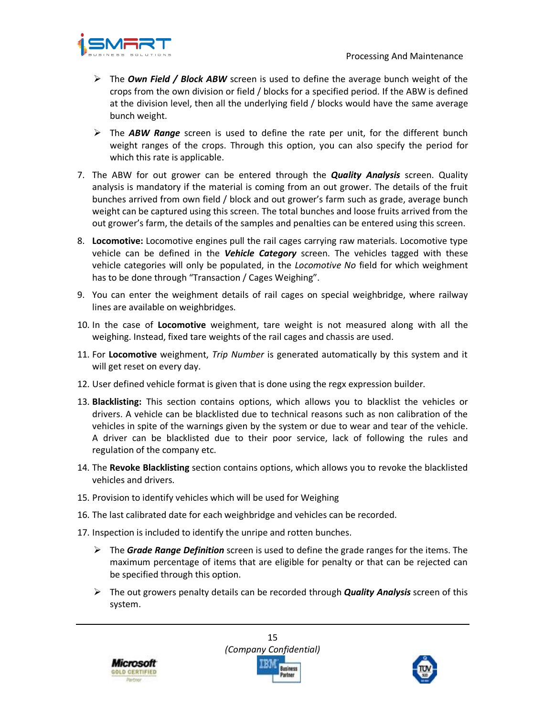

- The *Own Field / Block ABW* screen is used to define the average bunch weight of the crops from the own division or field / blocks for a specified period. If the ABW is defined at the division level, then all the underlying field / blocks would have the same average bunch weight.
- The *ABW Range* screen is used to define the rate per unit, for the different bunch weight ranges of the crops. Through this option, you can also specify the period for which this rate is applicable.
- 7. The ABW for out grower can be entered through the *Quality Analysis* screen. Quality analysis is mandatory if the material is coming from an out grower. The details of the fruit bunches arrived from own field / block and out grower's farm such as grade, average bunch weight can be captured using this screen. The total bunches and loose fruits arrived from the out grower's farm, the details of the samples and penalties can be entered using this screen.
- 8. **Locomotive:** Locomotive engines pull the rail cages carrying raw materials. Locomotive type vehicle can be defined in the *Vehicle Category* screen. The vehicles tagged with these vehicle categories will only be populated, in the *Locomotive No* field for which weighment has to be done through "Transaction / Cages Weighing".
- 9. You can enter the weighment details of rail cages on special weighbridge, where railway lines are available on weighbridges.
- 10. In the case of **Locomotive** weighment, tare weight is not measured along with all the weighing. Instead, fixed tare weights of the rail cages and chassis are used.
- 11. For **Locomotive** weighment, *Trip Number* is generated automatically by this system and it will get reset on every day.
- 12. User defined vehicle format is given that is done using the regx expression builder.
- 13. **Blacklisting:** This section contains options, which allows you to blacklist the vehicles or drivers. A vehicle can be blacklisted due to technical reasons such as non calibration of the vehicles in spite of the warnings given by the system or due to wear and tear of the vehicle. A driver can be blacklisted due to their poor service, lack of following the rules and regulation of the company etc.
- 14. The **Revoke Blacklisting** section contains options, which allows you to revoke the blacklisted vehicles and drivers.
- 15. Provision to identify vehicles which will be used for Weighing
- 16. The last calibrated date for each weighbridge and vehicles can be recorded.
- 17. Inspection is included to identify the unripe and rotten bunches.
	- The *Grade Range Definition* screen is used to define the grade ranges for the items. The maximum percentage of items that are eligible for penalty or that can be rejected can be specified through this option.
	- The out growers penalty details can be recorded through *Quality Analysis* screen of this system.



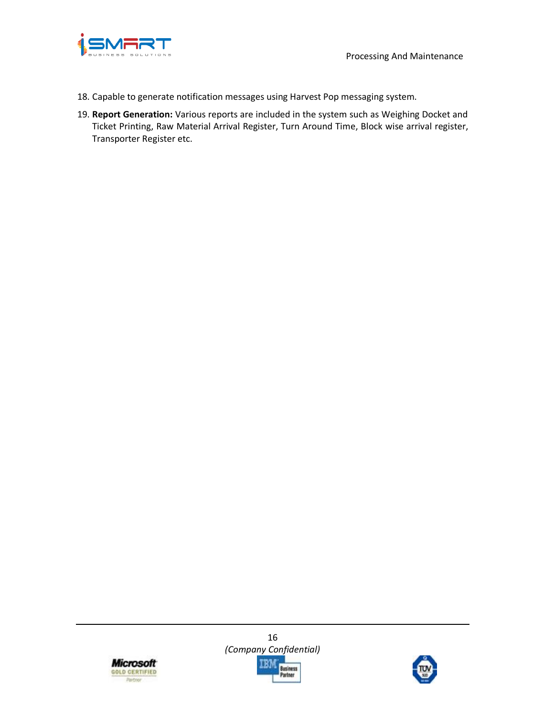

- 18. Capable to generate notification messages using Harvest Pop messaging system.
- 19. **Report Generation:** Various reports are included in the system such as Weighing Docket and Ticket Printing, Raw Material Arrival Register, Turn Around Time, Block wise arrival register, Transporter Register etc.



16 *(Company Confidential)*  IBM **Business** Partner

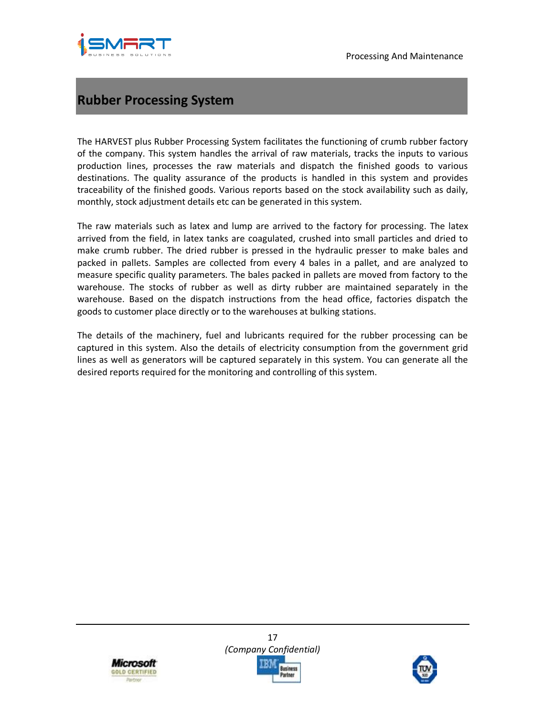



# **Rubber Processing System**

The HARVEST plus Rubber Processing System facilitates the functioning of crumb rubber factory of the company. This system handles the arrival of raw materials, tracks the inputs to various production lines, processes the raw materials and dispatch the finished goods to various destinations. The quality assurance of the products is handled in this system and provides traceability of the finished goods. Various reports based on the stock availability such as daily, monthly, stock adjustment details etc can be generated in this system.

The raw materials such as latex and lump are arrived to the factory for processing. The latex arrived from the field, in latex tanks are coagulated, crushed into small particles and dried to make crumb rubber. The dried rubber is pressed in the hydraulic presser to make bales and packed in pallets. Samples are collected from every 4 bales in a pallet, and are analyzed to measure specific quality parameters. The bales packed in pallets are moved from factory to the warehouse. The stocks of rubber as well as dirty rubber are maintained separately in the warehouse. Based on the dispatch instructions from the head office, factories dispatch the goods to customer place directly or to the warehouses at bulking stations.

The details of the machinery, fuel and lubricants required for the rubber processing can be captured in this system. Also the details of electricity consumption from the government grid lines as well as generators will be captured separately in this system. You can generate all the desired reports required for the monitoring and controlling of this system.



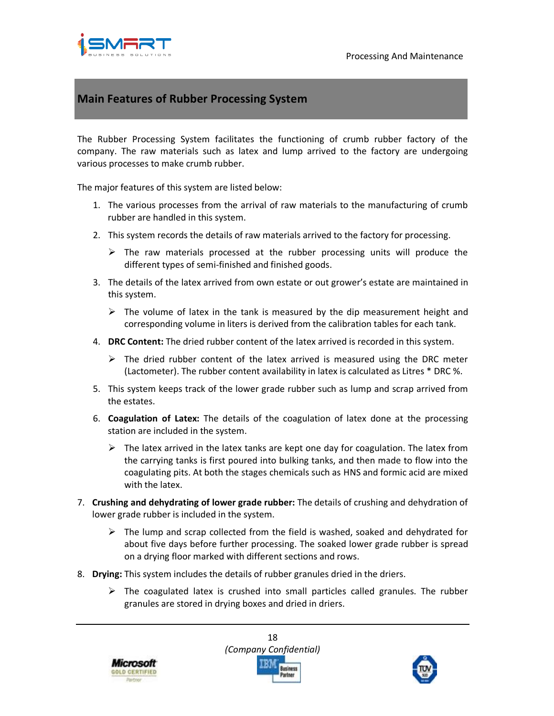

## **Main Features of Rubber Processing System**

The Rubber Processing System facilitates the functioning of crumb rubber factory of the company. The raw materials such as latex and lump arrived to the factory are undergoing various processes to make crumb rubber.

The major features of this system are listed below:

- 1. The various processes from the arrival of raw materials to the manufacturing of crumb rubber are handled in this system.
- 2. This system records the details of raw materials arrived to the factory for processing.
	- $\triangleright$  The raw materials processed at the rubber processing units will produce the different types of semi-finished and finished goods.
- 3. The details of the latex arrived from own estate or out grower's estate are maintained in this system.
	- $\triangleright$  The volume of latex in the tank is measured by the dip measurement height and corresponding volume in liters is derived from the calibration tables for each tank.
- 4. **DRC Content:** The dried rubber content of the latex arrived is recorded in this system.
	- $\triangleright$  The dried rubber content of the latex arrived is measured using the DRC meter (Lactometer). The rubber content availability in latex is calculated as Litres \* DRC %.
- 5. This system keeps track of the lower grade rubber such as lump and scrap arrived from the estates.
- 6. **Coagulation of Latex:** The details of the coagulation of latex done at the processing station are included in the system.
	- $\triangleright$  The latex arrived in the latex tanks are kept one day for coagulation. The latex from the carrying tanks is first poured into bulking tanks, and then made to flow into the coagulating pits. At both the stages chemicals such as HNS and formic acid are mixed with the latex.
- 7. **Crushing and dehydrating of lower grade rubber:** The details of crushing and dehydration of lower grade rubber is included in the system.
	- $\triangleright$  The lump and scrap collected from the field is washed, soaked and dehydrated for about five days before further processing. The soaked lower grade rubber is spread on a drying floor marked with different sections and rows.
- 8. **Drying:** This system includes the details of rubber granules dried in the driers.
	- $\triangleright$  The coagulated latex is crushed into small particles called granules. The rubber granules are stored in drying boxes and dried in driers.





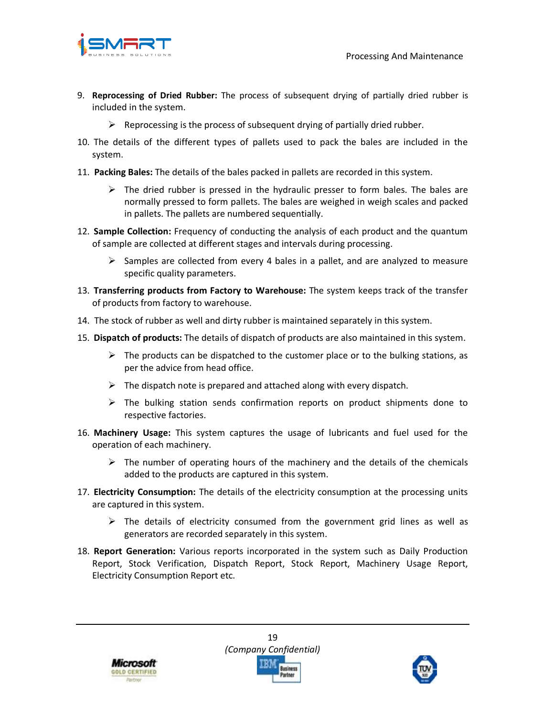

- 9. **Reprocessing of Dried Rubber:** The process of subsequent drying of partially dried rubber is included in the system.
	- $\triangleright$  Reprocessing is the process of subsequent drying of partially dried rubber.
- 10. The details of the different types of pallets used to pack the bales are included in the system.
- 11. **Packing Bales:** The details of the bales packed in pallets are recorded in this system.
	- $\triangleright$  The dried rubber is pressed in the hydraulic presser to form bales. The bales are normally pressed to form pallets. The bales are weighed in weigh scales and packed in pallets. The pallets are numbered sequentially.
- 12. **Sample Collection:** Frequency of conducting the analysis of each product and the quantum of sample are collected at different stages and intervals during processing.
	- $\triangleright$  Samples are collected from every 4 bales in a pallet, and are analyzed to measure specific quality parameters.
- 13. **Transferring products from Factory to Warehouse:** The system keeps track of the transfer of products from factory to warehouse.
- 14. The stock of rubber as well and dirty rubber is maintained separately in this system.
- 15. **Dispatch of products:** The details of dispatch of products are also maintained in this system.
	- $\triangleright$  The products can be dispatched to the customer place or to the bulking stations, as per the advice from head office.
	- $\triangleright$  The dispatch note is prepared and attached along with every dispatch.
	- $\triangleright$  The bulking station sends confirmation reports on product shipments done to respective factories.
- 16. **Machinery Usage:** This system captures the usage of lubricants and fuel used for the operation of each machinery.
	- $\triangleright$  The number of operating hours of the machinery and the details of the chemicals added to the products are captured in this system.
- 17. **Electricity Consumption:** The details of the electricity consumption at the processing units are captured in this system.
	- $\triangleright$  The details of electricity consumed from the government grid lines as well as generators are recorded separately in this system.
- 18. **Report Generation:** Various reports incorporated in the system such as Daily Production Report, Stock Verification, Dispatch Report, Stock Report, Machinery Usage Report, Electricity Consumption Report etc.



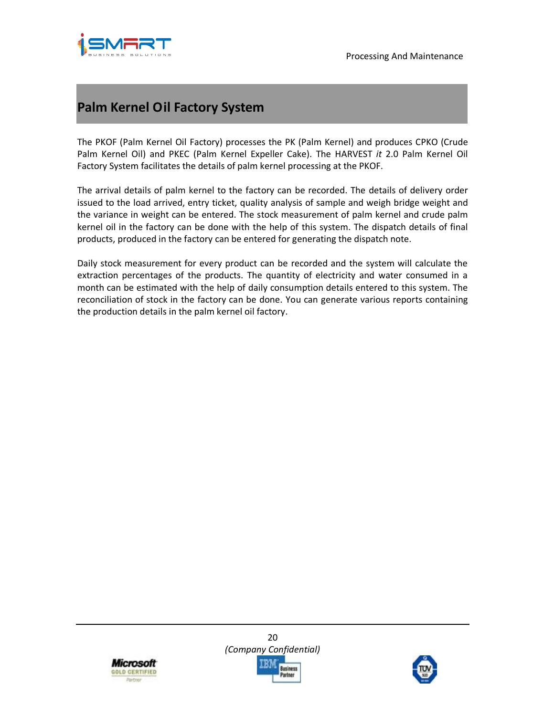

## **Palm Kernel Oil Factory System**

The PKOF (Palm Kernel Oil Factory) processes the PK (Palm Kernel) and produces CPKO (Crude Palm Kernel Oil) and PKEC (Palm Kernel Expeller Cake). The HARVEST *it* 2.0 Palm Kernel Oil Factory System facilitates the details of palm kernel processing at the PKOF.

The arrival details of palm kernel to the factory can be recorded. The details of delivery order issued to the load arrived, entry ticket, quality analysis of sample and weigh bridge weight and the variance in weight can be entered. The stock measurement of palm kernel and crude palm kernel oil in the factory can be done with the help of this system. The dispatch details of final products, produced in the factory can be entered for generating the dispatch note.

Daily stock measurement for every product can be recorded and the system will calculate the extraction percentages of the products. The quantity of electricity and water consumed in a month can be estimated with the help of daily consumption details entered to this system. The reconciliation of stock in the factory can be done. You can generate various reports containing the production details in the palm kernel oil factory.



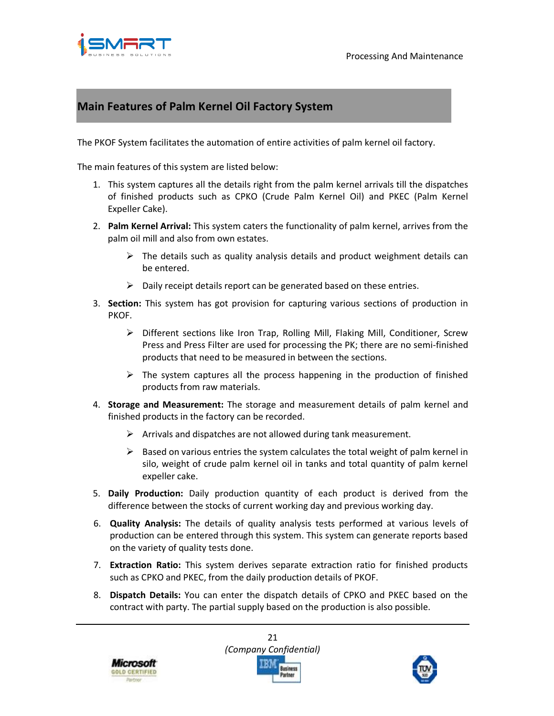

## **Main Features of Palm Kernel Oil Factory System**

The PKOF System facilitates the automation of entire activities of palm kernel oil factory.

The main features of this system are listed below:

- 1. This system captures all the details right from the palm kernel arrivals till the dispatches of finished products such as CPKO (Crude Palm Kernel Oil) and PKEC (Palm Kernel Expeller Cake).
- 2. **Palm Kernel Arrival:** This system caters the functionality of palm kernel, arrives from the palm oil mill and also from own estates.
	- $\triangleright$  The details such as quality analysis details and product weighment details can be entered.
	- $\triangleright$  Daily receipt details report can be generated based on these entries.
- 3. **Section:** This system has got provision for capturing various sections of production in PKOF.
	- Different sections like Iron Trap, Rolling Mill, Flaking Mill, Conditioner, Screw Press and Press Filter are used for processing the PK; there are no semi-finished products that need to be measured in between the sections.
	- $\triangleright$  The system captures all the process happening in the production of finished products from raw materials.
- 4. **Storage and Measurement:** The storage and measurement details of palm kernel and finished products in the factory can be recorded.
	- $\triangleright$  Arrivals and dispatches are not allowed during tank measurement.
	- $\triangleright$  Based on various entries the system calculates the total weight of palm kernel in silo, weight of crude palm kernel oil in tanks and total quantity of palm kernel expeller cake.
- 5. **Daily Production:** Daily production quantity of each product is derived from the difference between the stocks of current working day and previous working day.
- 6. **Quality Analysis:** The details of quality analysis tests performed at various levels of production can be entered through this system. This system can generate reports based on the variety of quality tests done.
- 7. **Extraction Ratio:** This system derives separate extraction ratio for finished products such as CPKO and PKEC, from the daily production details of PKOF.
- 8. **Dispatch Details:** You can enter the dispatch details of CPKO and PKEC based on the contract with party. The partial supply based on the production is also possible.





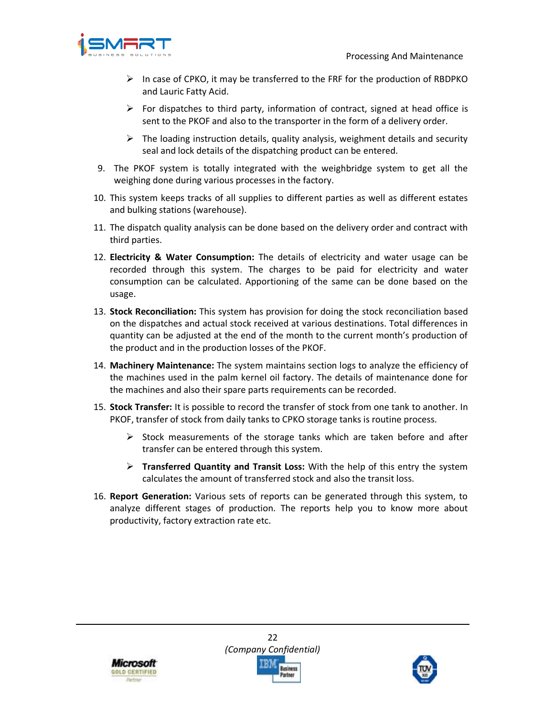

- $\triangleright$  In case of CPKO, it may be transferred to the FRF for the production of RBDPKO and Lauric Fatty Acid.
- $\triangleright$  For dispatches to third party, information of contract, signed at head office is sent to the PKOF and also to the transporter in the form of a delivery order.
- $\triangleright$  The loading instruction details, quality analysis, weighment details and security seal and lock details of the dispatching product can be entered.
- 9. The PKOF system is totally integrated with the weighbridge system to get all the weighing done during various processes in the factory.
- 10. This system keeps tracks of all supplies to different parties as well as different estates and bulking stations (warehouse).
- 11. The dispatch quality analysis can be done based on the delivery order and contract with third parties.
- 12. **Electricity & Water Consumption:** The details of electricity and water usage can be recorded through this system. The charges to be paid for electricity and water consumption can be calculated. Apportioning of the same can be done based on the usage.
- 13. **Stock Reconciliation:** This system has provision for doing the stock reconciliation based on the dispatches and actual stock received at various destinations. Total differences in quantity can be adjusted at the end of the month to the current month's production of the product and in the production losses of the PKOF.
- 14. **Machinery Maintenance:** The system maintains section logs to analyze the efficiency of the machines used in the palm kernel oil factory. The details of maintenance done for the machines and also their spare parts requirements can be recorded.
- 15. **Stock Transfer:** It is possible to record the transfer of stock from one tank to another. In PKOF, transfer of stock from daily tanks to CPKO storage tanks is routine process.
	- $\triangleright$  Stock measurements of the storage tanks which are taken before and after transfer can be entered through this system.
	- **Transferred Quantity and Transit Loss:** With the help of this entry the system calculates the amount of transferred stock and also the transit loss.
- 16. **Report Generation:** Various sets of reports can be generated through this system, to analyze different stages of production. The reports help you to know more about productivity, factory extraction rate etc.



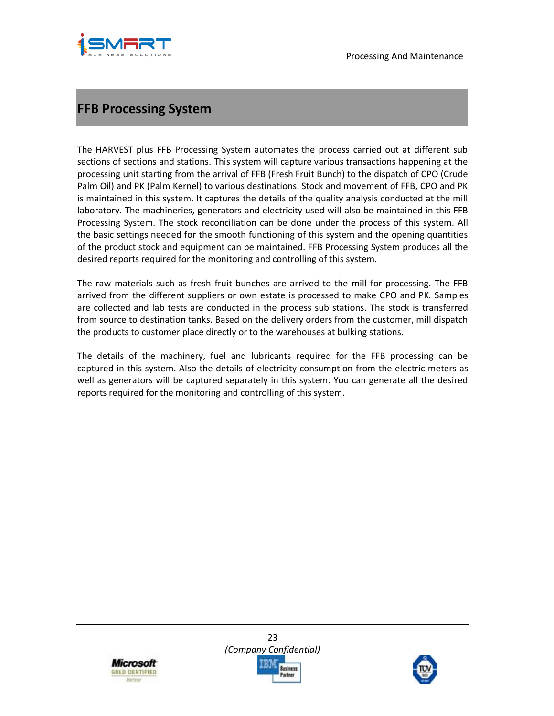

# **FFB Processing System**

The HARVEST plus FFB Processing System automates the process carried out at different sub sections of sections and stations. This system will capture various transactions happening at the processing unit starting from the arrival of FFB (Fresh Fruit Bunch) to the dispatch of CPO (Crude Palm Oil) and PK (Palm Kernel) to various destinations. Stock and movement of FFB, CPO and PK is maintained in this system. It captures the details of the quality analysis conducted at the mill laboratory. The machineries, generators and electricity used will also be maintained in this FFB Processing System. The stock reconciliation can be done under the process of this system. All the basic settings needed for the smooth functioning of this system and the opening quantities of the product stock and equipment can be maintained. FFB Processing System produces all the desired reports required for the monitoring and controlling of this system.

The raw materials such as fresh fruit bunches are arrived to the mill for processing. The FFB arrived from the different suppliers or own estate is processed to make CPO and PK. Samples are collected and lab tests are conducted in the process sub stations. The stock is transferred from source to destination tanks. Based on the delivery orders from the customer, mill dispatch the products to customer place directly or to the warehouses at bulking stations.

The details of the machinery, fuel and lubricants required for the FFB processing can be captured in this system. Also the details of electricity consumption from the electric meters as well as generators will be captured separately in this system. You can generate all the desired reports required for the monitoring and controlling of this system.



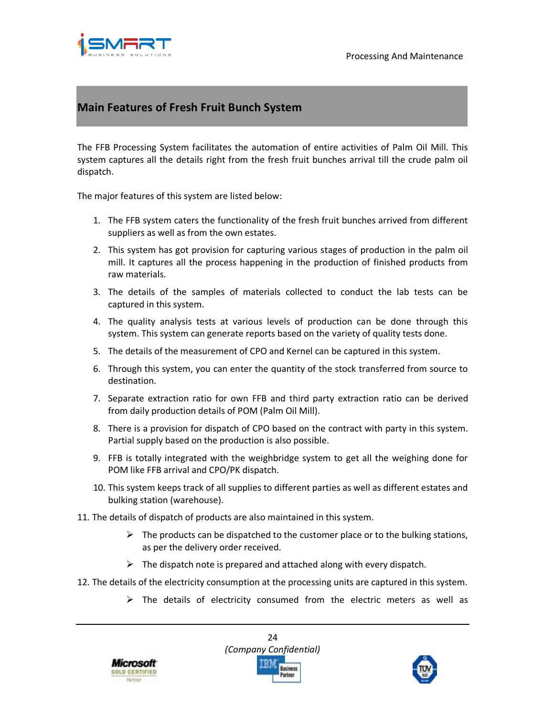

## **Main Features of Fresh Fruit Bunch System**

The FFB Processing System facilitates the automation of entire activities of Palm Oil Mill. This system captures all the details right from the fresh fruit bunches arrival till the crude palm oil dispatch.

The major features of this system are listed below:

- 1. The FFB system caters the functionality of the fresh fruit bunches arrived from different suppliers as well as from the own estates.
- 2. This system has got provision for capturing various stages of production in the palm oil mill. It captures all the process happening in the production of finished products from raw materials.
- 3. The details of the samples of materials collected to conduct the lab tests can be captured in this system.
- 4. The quality analysis tests at various levels of production can be done through this system. This system can generate reports based on the variety of quality tests done.
- 5. The details of the measurement of CPO and Kernel can be captured in this system.
- 6. Through this system, you can enter the quantity of the stock transferred from source to destination.
- 7. Separate extraction ratio for own FFB and third party extraction ratio can be derived from daily production details of POM (Palm Oil Mill).
- 8. There is a provision for dispatch of CPO based on the contract with party in this system. Partial supply based on the production is also possible.
- 9. FFB is totally integrated with the weighbridge system to get all the weighing done for POM like FFB arrival and CPO/PK dispatch.
- 10. This system keeps track of all supplies to different parties as well as different estates and bulking station (warehouse).
- 11. The details of dispatch of products are also maintained in this system.
	- $\triangleright$  The products can be dispatched to the customer place or to the bulking stations, as per the delivery order received.
	- $\triangleright$  The dispatch note is prepared and attached along with every dispatch.
- 12. The details of the electricity consumption at the processing units are captured in this system.
	- $\triangleright$  The details of electricity consumed from the electric meters as well as





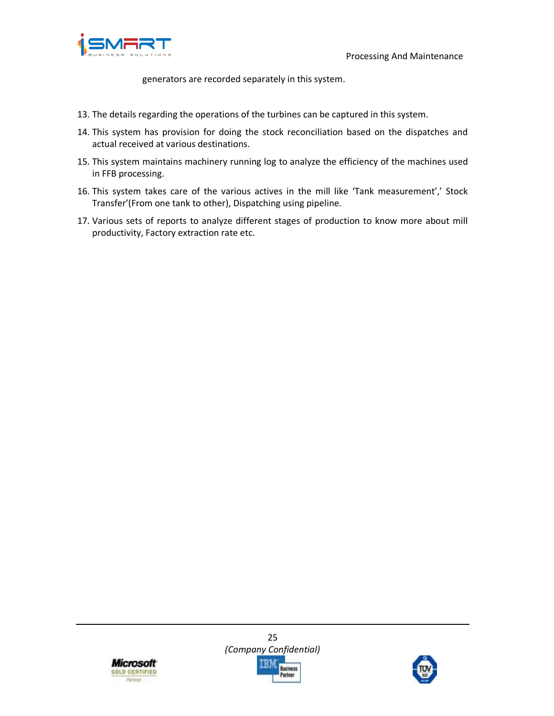



generators are recorded separately in this system.

- 13. The details regarding the operations of the turbines can be captured in this system.
- 14. This system has provision for doing the stock reconciliation based on the dispatches and actual received at various destinations.
- 15. This system maintains machinery running log to analyze the efficiency of the machines used in FFB processing.
- 16. This system takes care of the various actives in the mill like 'Tank measurement',' Stock Transfer'(From one tank to other), Dispatching using pipeline.
- 17. Various sets of reports to analyze different stages of production to know more about mill productivity, Factory extraction rate etc.



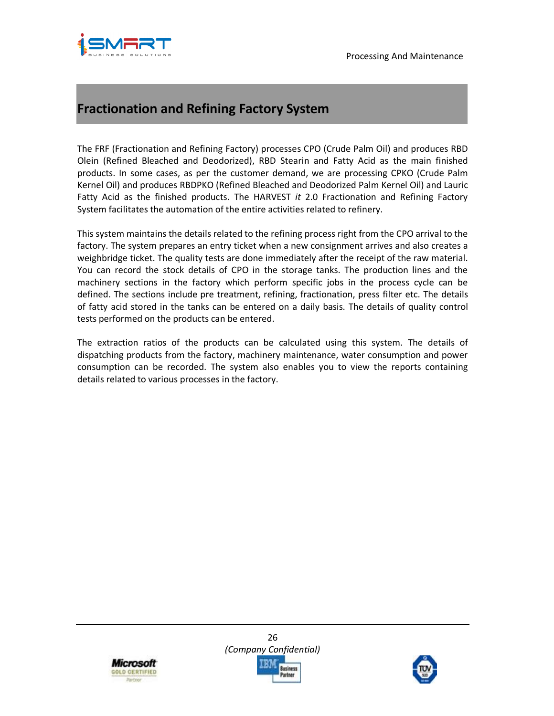

# **Fractionation and Refining Factory System**

The FRF (Fractionation and Refining Factory) processes CPO (Crude Palm Oil) and produces RBD Olein (Refined Bleached and Deodorized), RBD Stearin and Fatty Acid as the main finished products. In some cases, as per the customer demand, we are processing CPKO (Crude Palm Kernel Oil) and produces RBDPKO (Refined Bleached and Deodorized Palm Kernel Oil) and Lauric Fatty Acid as the finished products. The HARVEST *it* 2.0 Fractionation and Refining Factory System facilitates the automation of the entire activities related to refinery.

This system maintains the details related to the refining process right from the CPO arrival to the factory. The system prepares an entry ticket when a new consignment arrives and also creates a weighbridge ticket. The quality tests are done immediately after the receipt of the raw material. You can record the stock details of CPO in the storage tanks. The production lines and the machinery sections in the factory which perform specific jobs in the process cycle can be defined. The sections include pre treatment, refining, fractionation, press filter etc. The details of fatty acid stored in the tanks can be entered on a daily basis. The details of quality control tests performed on the products can be entered.

The extraction ratios of the products can be calculated using this system. The details of dispatching products from the factory, machinery maintenance, water consumption and power consumption can be recorded. The system also enables you to view the reports containing details related to various processes in the factory.



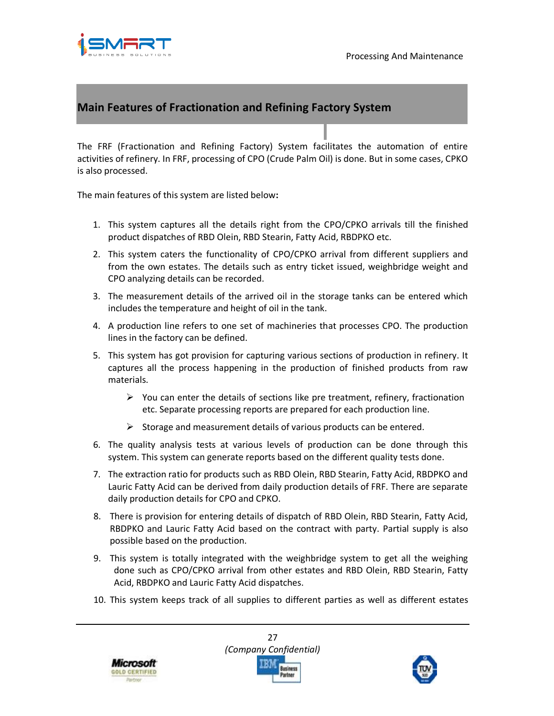

## **Main Features of Fractionation and Refining Factory System**

The FRF (Fractionation and Refining Factory) System facilitates the automation of entire activities of refinery. In FRF, processing of CPO (Crude Palm Oil) is done. But in some cases, CPKO is also processed.

The main features of this system are listed below**:**

- 1. This system captures all the details right from the CPO/CPKO arrivals till the finished product dispatches of RBD Olein, RBD Stearin, Fatty Acid, RBDPKO etc.
- 2. This system caters the functionality of CPO/CPKO arrival from different suppliers and from the own estates. The details such as entry ticket issued, weighbridge weight and CPO analyzing details can be recorded.
- 3. The measurement details of the arrived oil in the storage tanks can be entered which includes the temperature and height of oil in the tank.
- 4. A production line refers to one set of machineries that processes CPO. The production lines in the factory can be defined.
- 5. This system has got provision for capturing various sections of production in refinery. It captures all the process happening in the production of finished products from raw materials.
	- $\triangleright$  You can enter the details of sections like pre treatment, refinery, fractionation etc. Separate processing reports are prepared for each production line.
	- $\triangleright$  Storage and measurement details of various products can be entered.
- 6. The quality analysis tests at various levels of production can be done through this system. This system can generate reports based on the different quality tests done.
- 7. The extraction ratio for products such as RBD Olein, RBD Stearin, Fatty Acid, RBDPKO and Lauric Fatty Acid can be derived from daily production details of FRF. There are separate daily production details for CPO and CPKO.
- 8. There is provision for entering details of dispatch of RBD Olein, RBD Stearin, Fatty Acid, RBDPKO and Lauric Fatty Acid based on the contract with party. Partial supply is also possible based on the production.
- 9. This system is totally integrated with the weighbridge system to get all the weighing done such as CPO/CPKO arrival from other estates and RBD Olein, RBD Stearin, Fatty Acid, RBDPKO and Lauric Fatty Acid dispatches.
- 10. This system keeps track of all supplies to different parties as well as different estates





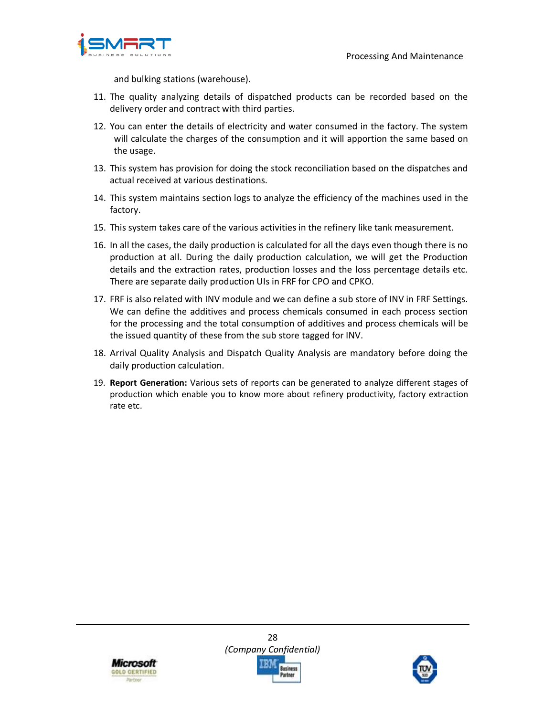

and bulking stations (warehouse).

- 11. The quality analyzing details of dispatched products can be recorded based on the delivery order and contract with third parties.
- 12. You can enter the details of electricity and water consumed in the factory. The system will calculate the charges of the consumption and it will apportion the same based on the usage.
- 13. This system has provision for doing the stock reconciliation based on the dispatches and actual received at various destinations.
- 14. This system maintains section logs to analyze the efficiency of the machines used in the factory.
- 15. This system takes care of the various activities in the refinery like tank measurement.
- 16. In all the cases, the daily production is calculated for all the days even though there is no production at all. During the daily production calculation, we will get the Production details and the extraction rates, production losses and the loss percentage details etc. There are separate daily production UIs in FRF for CPO and CPKO.
- 17. FRF is also related with INV module and we can define a sub store of INV in FRF Settings. We can define the additives and process chemicals consumed in each process section for the processing and the total consumption of additives and process chemicals will be the issued quantity of these from the sub store tagged for INV.
- 18. Arrival Quality Analysis and Dispatch Quality Analysis are mandatory before doing the daily production calculation.
- 19. **Report Generation:** Various sets of reports can be generated to analyze different stages of production which enable you to know more about refinery productivity, factory extraction rate etc.



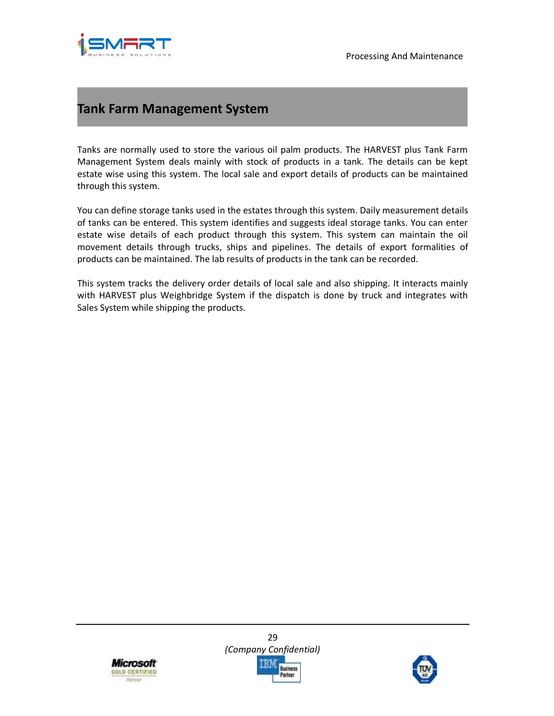

# **Tank Farm Management System**

Tanks are normally used to store the various oil palm products. The HARVEST plus Tank Farm Management System deals mainly with stock of products in a tank. The details can be kept estate wise using this system. The local sale and export details of products can be maintained through this system.

You can define storage tanks used in the estates through this system. Daily measurement details of tanks can be entered. This system identifies and suggests ideal storage tanks. You can enter estate wise details of each product through this system. This system can maintain the oil movement details through trucks, ships and pipelines. The details of export formalities of products can be maintained. The lab results of products in the tank can be recorded.

This system tracks the delivery order details of local sale and also shipping. It interacts mainly with HARVEST plus Weighbridge System if the dispatch is done by truck and integrates with Sales System while shipping the products.



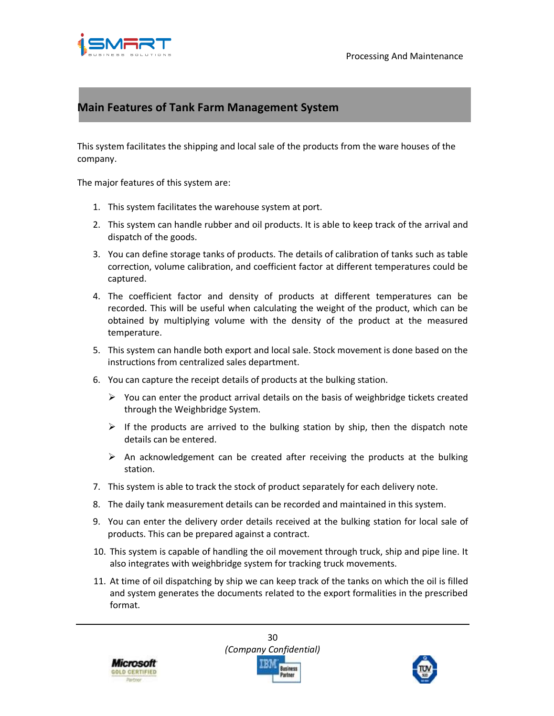

## **Main Features of Tank Farm Management System**

This system facilitates the shipping and local sale of the products from the ware houses of the company.

The major features of this system are:

- 1. This system facilitates the warehouse system at port.
- 2. This system can handle rubber and oil products. It is able to keep track of the arrival and dispatch of the goods.
- 3. You can define storage tanks of products. The details of calibration of tanks such as table correction, volume calibration, and coefficient factor at different temperatures could be captured.
- 4. The coefficient factor and density of products at different temperatures can be recorded. This will be useful when calculating the weight of the product, which can be obtained by multiplying volume with the density of the product at the measured temperature.
- 5. This system can handle both export and local sale. Stock movement is done based on the instructions from centralized sales department.
- 6. You can capture the receipt details of products at the bulking station.
	- $\triangleright$  You can enter the product arrival details on the basis of weighbridge tickets created through the Weighbridge System.
	- $\triangleright$  If the products are arrived to the bulking station by ship, then the dispatch note details can be entered.
	- $\triangleright$  An acknowledgement can be created after receiving the products at the bulking station.
- 7. This system is able to track the stock of product separately for each delivery note.
- 8. The daily tank measurement details can be recorded and maintained in this system.
- 9. You can enter the delivery order details received at the bulking station for local sale of products. This can be prepared against a contract.
- 10. This system is capable of handling the oil movement through truck, ship and pipe line. It also integrates with weighbridge system for tracking truck movements.
- 11. At time of oil dispatching by ship we can keep track of the tanks on which the oil is filled and system generates the documents related to the export formalities in the prescribed format.



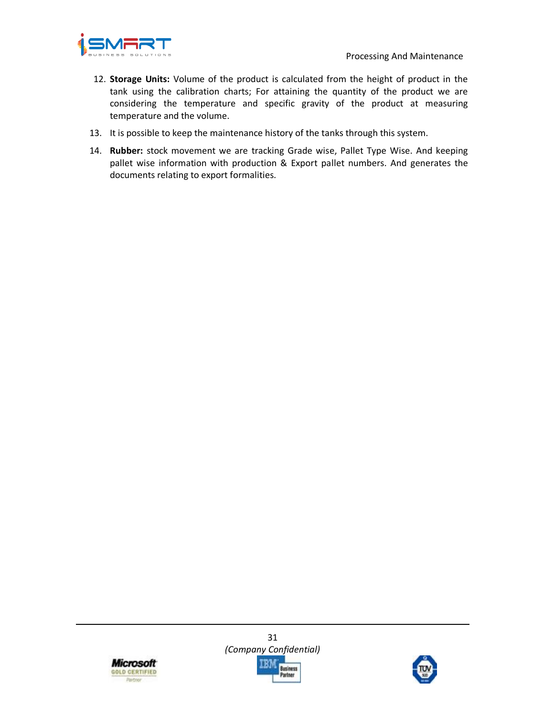

- 12. **Storage Units:** Volume of the product is calculated from the height of product in the tank using the calibration charts; For attaining the quantity of the product we are considering the temperature and specific gravity of the product at measuring temperature and the volume.
- 13. It is possible to keep the maintenance history of the tanks through this system.
- 14. **Rubber:** stock movement we are tracking Grade wise, Pallet Type Wise. And keeping pallet wise information with production & Export pallet numbers. And generates the documents relating to export formalities.



31 *(Company Confidential)*  usiness Partner

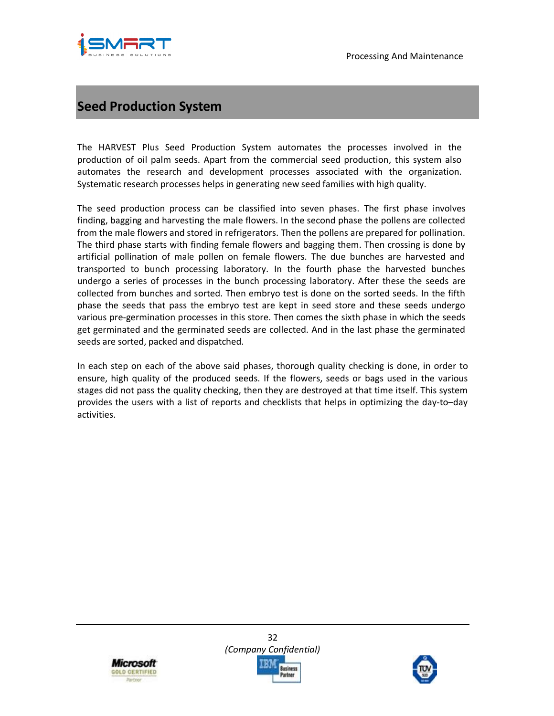



# **Seed Production System**

The HARVEST Plus Seed Production System automates the processes involved in the production of oil palm seeds. Apart from the commercial seed production, this system also automates the research and development processes associated with the organization. Systematic research processes helps in generating new seed families with high quality.

The seed production process can be classified into seven phases. The first phase involves finding, bagging and harvesting the male flowers. In the second phase the pollens are collected from the male flowers and stored in refrigerators. Then the pollens are prepared for pollination. The third phase starts with finding female flowers and bagging them. Then crossing is done by artificial pollination of male pollen on female flowers. The due bunches are harvested and transported to bunch processing laboratory. In the fourth phase the harvested bunches undergo a series of processes in the bunch processing laboratory. After these the seeds are collected from bunches and sorted. Then embryo test is done on the sorted seeds. In the fifth phase the seeds that pass the embryo test are kept in seed store and these seeds undergo various pre-germination processes in this store. Then comes the sixth phase in which the seeds get germinated and the germinated seeds are collected. And in the last phase the germinated seeds are sorted, packed and dispatched.

In each step on each of the above said phases, thorough quality checking is done, in order to ensure, high quality of the produced seeds. If the flowers, seeds or bags used in the various stages did not pass the quality checking, then they are destroyed at that time itself. This system provides the users with a list of reports and checklists that helps in optimizing the day-to–day activities.



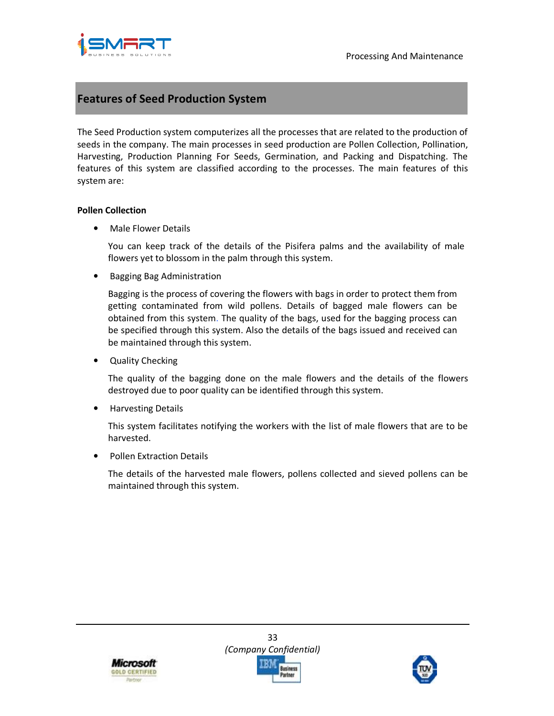

#### **Features of Seed Production System**

The Seed Production system computerizes all the processes that are related to the production of seeds in the company. The main processes in seed production are Pollen Collection, Pollination, Harvesting, Production Planning For Seeds, Germination, and Packing and Dispatching. The features of this system are classified according to the processes. The main features of this system are:

#### **Pollen Collection**

• Male Flower Details

You can keep track of the details of the Pisifera palms and the availability of male flowers yet to blossom in the palm through this system.

• Bagging Bag Administration

Bagging is the process of covering the flowers with bags in order to protect them from getting contaminated from wild pollens. Details of bagged male flowers can be obtained from this system. The quality of the bags, used for the bagging process can be specified through this system. Also the details of the bags issued and received can be maintained through this system.

• Quality Checking

The quality of the bagging done on the male flowers and the details of the flowers destroyed due to poor quality can be identified through this system.

• Harvesting Details

This system facilitates notifying the workers with the list of male flowers that are to be harvested.

• Pollen Extraction Details

The details of the harvested male flowers, pollens collected and sieved pollens can be maintained through this system.



33 *(Company Confidential)* 

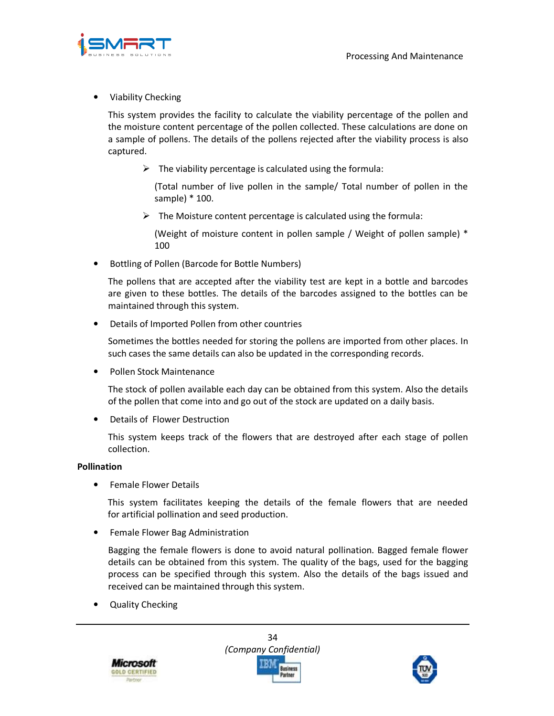

• Viability Checking

This system provides the facility to calculate the viability percentage of the pollen and the moisture content percentage of the pollen collected. These calculations are done on a sample of pollens. The details of the pollens rejected after the viability process is also captured.

 $\triangleright$  The viability percentage is calculated using the formula:

(Total number of live pollen in the sample/ Total number of pollen in the sample) \* 100.

 $\triangleright$  The Moisture content percentage is calculated using the formula:

(Weight of moisture content in pollen sample / Weight of pollen sample) \* 100

• Bottling of Pollen (Barcode for Bottle Numbers)

The pollens that are accepted after the viability test are kept in a bottle and barcodes are given to these bottles. The details of the barcodes assigned to the bottles can be maintained through this system.

• Details of Imported Pollen from other countries

Sometimes the bottles needed for storing the pollens are imported from other places. In such cases the same details can also be updated in the corresponding records.

• Pollen Stock Maintenance

The stock of pollen available each day can be obtained from this system. Also the details of the pollen that come into and go out of the stock are updated on a daily basis.

• Details of Flower Destruction

This system keeps track of the flowers that are destroyed after each stage of pollen collection.

#### **Pollination**

• Female Flower Details

This system facilitates keeping the details of the female flowers that are needed for artificial pollination and seed production.

• Female Flower Bag Administration

Bagging the female flowers is done to avoid natural pollination. Bagged female flower details can be obtained from this system. The quality of the bags, used for the bagging process can be specified through this system. Also the details of the bags issued and received can be maintained through this system.

• Quality Checking



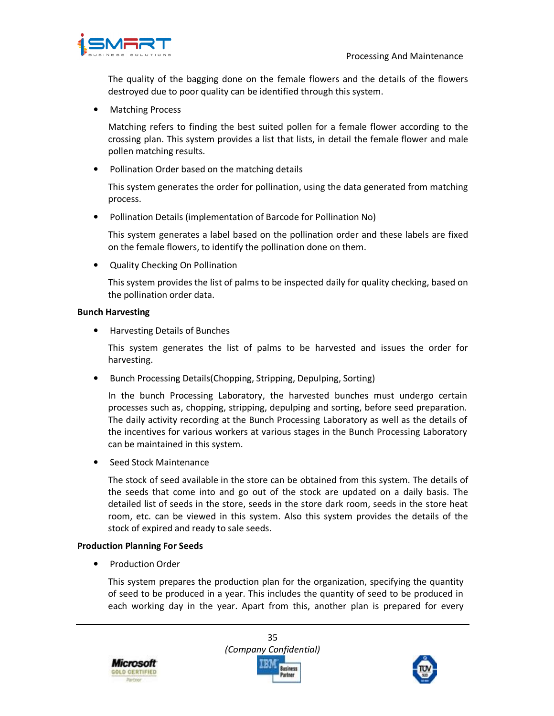

The quality of the bagging done on the female flowers and the details of the flowers destroyed due to poor quality can be identified through this system.

• Matching Process

Matching refers to finding the best suited pollen for a female flower according to the crossing plan. This system provides a list that lists, in detail the female flower and male pollen matching results.

• Pollination Order based on the matching details

This system generates the order for pollination, using the data generated from matching process.

• Pollination Details (implementation of Barcode for Pollination No)

This system generates a label based on the pollination order and these labels are fixed on the female flowers, to identify the pollination done on them.

• Quality Checking On Pollination

This system provides the list of palms to be inspected daily for quality checking, based on the pollination order data.

#### **Bunch Harvesting**

• Harvesting Details of Bunches

This system generates the list of palms to be harvested and issues the order for harvesting.

• Bunch Processing Details(Chopping, Stripping, Depulping, Sorting)

In the bunch Processing Laboratory, the harvested bunches must undergo certain processes such as, chopping, stripping, depulping and sorting, before seed preparation. The daily activity recording at the Bunch Processing Laboratory as well as the details of the incentives for various workers at various stages in the Bunch Processing Laboratory can be maintained in this system.

• Seed Stock Maintenance

The stock of seed available in the store can be obtained from this system. The details of the seeds that come into and go out of the stock are updated on a daily basis. The detailed list of seeds in the store, seeds in the store dark room, seeds in the store heat room, etc. can be viewed in this system. Also this system provides the details of the stock of expired and ready to sale seeds.

#### **Production Planning For Seeds**

• Production Order

This system prepares the production plan for the organization, specifying the quantity of seed to be produced in a year. This includes the quantity of seed to be produced in each working day in the year. Apart from this, another plan is prepared for every



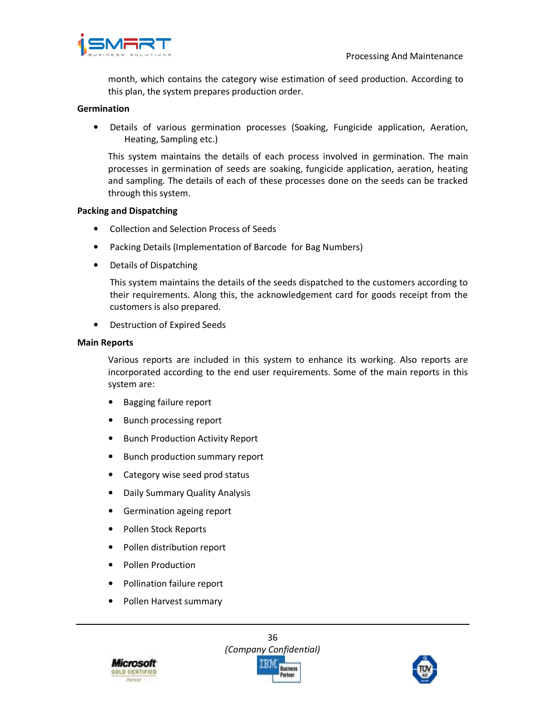

month, which contains the category wise estimation of seed production. According to this plan, the system prepares production order.

#### **Germination**

• Details of various germination processes (Soaking, Fungicide application, Aeration, Heating, Sampling etc.)

This system maintains the details of each process involved in germination. The main processes in germination of seeds are soaking, fungicide application, aeration, heating and sampling. The details of each of these processes done on the seeds can be tracked through this system.

#### **Packing and Dispatching**

- Collection and Selection Process of Seeds
- Packing Details (Implementation of Barcode for Bag Numbers)
- Details of Dispatching

This system maintains the details of the seeds dispatched to the customers according to their requirements. Along this, the acknowledgement card for goods receipt from the customers is also prepared.

• Destruction of Expired Seeds

#### **Main Reports**

Various reports are included in this system to enhance its working. Also reports are incorporated according to the end user requirements. Some of the main reports in this system are:

- Bagging failure report
- Bunch processing report
- Bunch Production Activity Report
- Bunch production summary report
- Category wise seed prod status
- Daily Summary Quality Analysis
- Germination ageing report
- Pollen Stock Reports
- Pollen distribution report
- Pollen Production
- Pollination failure report
- Pollen Harvest summary